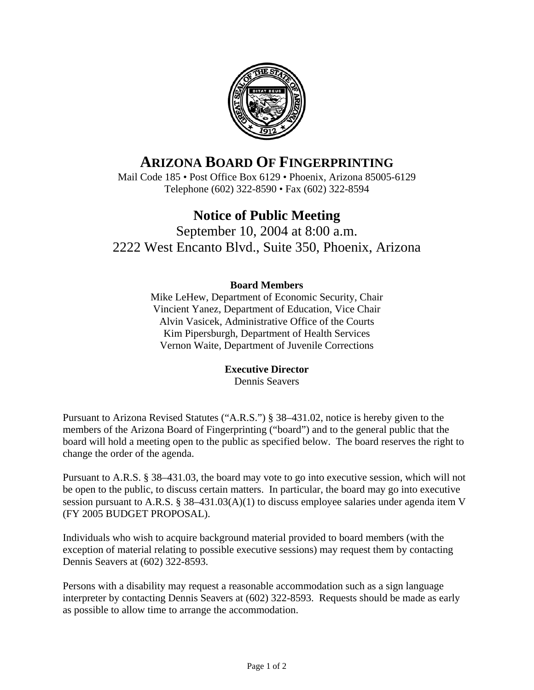

# **ARIZONA BOARD OF FINGERPRINTING**

Mail Code 185 • Post Office Box 6129 • Phoenix, Arizona 85005-6129 Telephone (602) 322-8590 • Fax (602) 322-8594

## **Notice of Public Meeting**

September 10, 2004 at 8:00 a.m. 2222 West Encanto Blvd., Suite 350, Phoenix, Arizona

#### **Board Members**

Mike LeHew, Department of Economic Security, Chair Vincient Yanez, Department of Education, Vice Chair Alvin Vasicek, Administrative Office of the Courts Kim Pipersburgh, Department of Health Services Vernon Waite, Department of Juvenile Corrections

#### **Executive Director**

Dennis Seavers

Pursuant to Arizona Revised Statutes ("A.R.S.") § 38–431.02, notice is hereby given to the members of the Arizona Board of Fingerprinting ("board") and to the general public that the board will hold a meeting open to the public as specified below. The board reserves the right to change the order of the agenda.

Pursuant to A.R.S. § 38–431.03, the board may vote to go into executive session, which will not be open to the public, to discuss certain matters. In particular, the board may go into executive session pursuant to A.R.S. § 38–431.03(A)(1) to discuss employee salaries under agenda item V (FY 2005 BUDGET PROPOSAL).

Individuals who wish to acquire background material provided to board members (with the exception of material relating to possible executive sessions) may request them by contacting Dennis Seavers at (602) 322-8593.

Persons with a disability may request a reasonable accommodation such as a sign language interpreter by contacting Dennis Seavers at (602) 322-8593. Requests should be made as early as possible to allow time to arrange the accommodation.